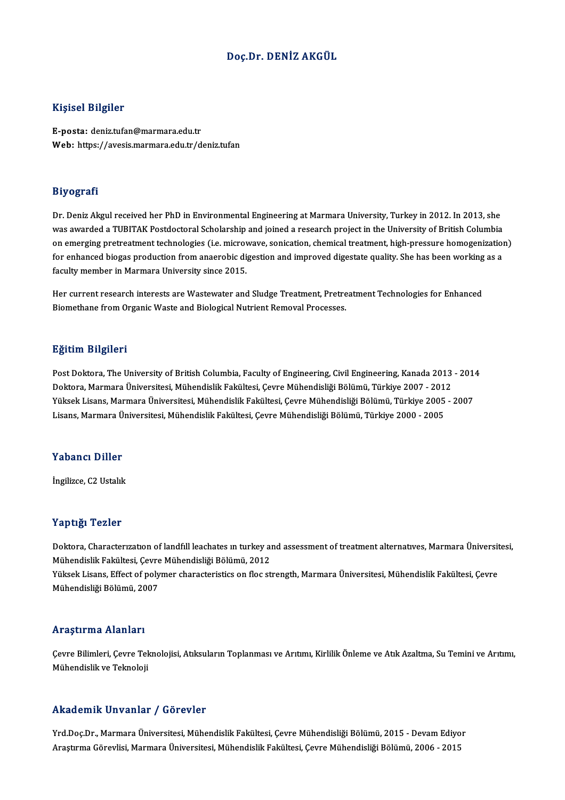# Doç.Dr. DENİZ AKGÜL

# Kişisel Bilgiler

E-posta: deniz.tufan@marmara.edu.tr Web: https://avesis.marmara.edu.tr/deniz.tufan

## Biyografi

Dr. Deniz Akgul received her PhD in Environmental Engineering at Marmara University, Turkey in 2012. In 2013, she was awarded a TUBITAK Postdoctoral Scholarship and joined a research project in the University of British Columbia Dr. Deniz Akgul received her PhD in Environmental Engineering at Marmara University, Turkey in 2012. In 2013, she<br>was awarded a TUBITAK Postdoctoral Scholarship and joined a research project in the University of British Co was awarded a TUBITAK Postdoctoral Scholarship and joined a research project in the University of British Columbia<br>on emerging pretreatment technologies (i.e. microwave, sonication, chemical treatment, high-pressure homoge on emerging pretreatment technologies (i.e. microv<br>for enhanced biogas production from anaerobic di<br>faculty member in Marmara University since 2015. for enhanced biogas production from anaerobic digestion and improved digestate quality. She has been working as a<br>faculty member in Marmara University since 2015.<br>Her current research interests are Wastewater and Sludge Tr

Biomethane from Organic Waste and Biological Nutrient Removal Processes.

# Eğitim Bilgileri

Eğitim Bilgileri<br>Post Doktora, The University of British Columbia, Faculty of Engineering, Civil Engineering, Kanada 2013 - 2014<br>Poltora, Marmara Üniversitesi, Mühandislik Fakültesi, Caura Mühandisliği Bölümü, Türkiye 2007 ngrenn Dirgireri<br>Post Doktora, The University of British Columbia, Faculty of Engineering, Civil Engineering, Kanada 2013<br>Doktora, Marmara Üniversitesi, Mühendislik Fakültesi, Çevre Mühendisliği Bölümü, Türkiye 2007 - 2012 Post Doktora, The University of British Columbia, Faculty of Engineering, Civil Engineering, Kanada 2013 - 201<br>Doktora, Marmara Üniversitesi, Mühendislik Fakültesi, Çevre Mühendisliği Bölümü, Türkiye 2007 - 2012<br>Yüksek Lis Doktora, Marmara Üniversitesi, Mühendislik Fakültesi, Çevre Mühendisliği Bölümü, Türkiye 2007 - 2012<br>Yüksek Lisans, Marmara Üniversitesi, Mühendislik Fakültesi, Çevre Mühendisliği Bölümü, Türkiye 2005 - 2007<br>Lisans, Marmar

# Yabancı Diller

İngilizce, C2 Ustalık

## Yaptığı Tezler

Yaptığı Tezler<br>Doktora, Characterızatıon of landfıll leachates ın turkey and assessment of treatment alternatıves, Marmara Üniversitesi,<br>Mühendielik Felsiltesi, Ceure Mühendieliği Pölümü, 2012 Tüp ergi<br>Doktora, Characterization of landfill leachates in turkey ai<br>Mühendislik Fakültesi, Çevre Mühendisliği Bölümü, 2012<br>Vülteel: Lisans, Effect of noluman shanasteristise on flag st Doktora, Characterızatıon of landfill leachates ın turkey and assessment of treatment alternatives, Marmara Üniversit<br>Mühendislik Fakültesi, Çevre Mühendisliği Bölümü, 2012<br>Yüksek Lisans, Effect of polymer characteristics

Mühendislik Fakültesi, Çevre<br>Yüksek Lisans, Effect of poly<br>Mühendisliği Bölümü, 2007 Mühendisliği Bölümü, 2007<br>Araştırma Alanları

Araştırma Alanları<br>Çevre Bilimleri, Çevre Teknolojisi, Atıksuların Toplanması ve Arıtımı, Kirlilik Önleme ve Atık Azaltma, Su Temini ve Arıtımı,<br>Mühandislik ve Teknoloji sse uper ma stramar i<br>Çevre Bilimleri, Çevre Tek<br>Mühendislik ve Teknoloji Mühendislik ve Teknoloji<br>Akademik Unvanlar / Görevler

Akademik Unvanlar / Görevler<br>Yrd.Doç.Dr., Marmara Üniversitesi, Mühendislik Fakültesi, Çevre Mühendisliği Bölümü, 2015 - Devam Ediyor<br>Anatırma Görevlisi, Marmara Üniversitesi, Mühendislik Fakültesi, Çevre Mühendisliği Bölü Arastıcının Girvaniar 7 dörevler<br>Yrd.Doç.Dr., Marmara Üniversitesi, Mühendislik Fakültesi, Çevre Mühendisliği Bölümü, 2015 - Devam Ediyo<br>Araştırma Görevlisi, Marmara Üniversitesi, Mühendislik Fakültesi, Çevre Mühendisliği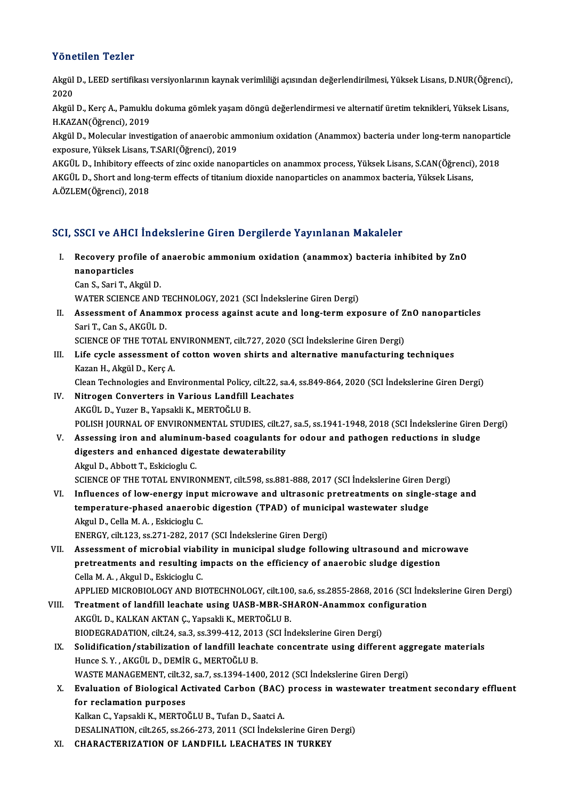# Yönetilen Tezler

Yönetilen Tezler<br>Akgül D., LEED sertifikası versiyonlarının kaynak verimliliği açısından değerlendirilmesi, Yüksek Lisans, D.NUR(Öğrenci),<br>2020 2020<br>Akgül<br>2020 Akgül D., LEED sertifikası versiyonlarının kaynak verimliliği açısından değerlendirilmesi, Yüksek Lisans, D.NUR(Öğrenci)<br>2020<br>Akgül D., Kerç A., Pamuklu dokuma gömlek yaşam döngü değerlendirmesi ve alternatif üretim teknik

2020<br>Akgül D., Kerç A., Pamuklu<br>H.KAZAN(Öğrenci), 2019<br>Akgül D., Molegular investi Akgül D., Kerç A., Pamuklu dokuma gömlek yaşam döngü değerlendirmesi ve alternatif üretim teknikleri, Yüksek Lisans,<br>H.KAZAN(Öğrenci), 2019<br>Akgül D., Molecular investigation of anaerobic ammonium oxidation (Anammox) bacter

H.KAZAN(Öğrenci), 2019<br>Akgül D., Molecular investigation of anaerobic ammonium oxidation (Anammox) bacteria under long-term nanoparticle<br>exposure, Yüksek Lisans, T.SARI(Öğrenci), 2019 Akgül D., Molecular investigation of anaerobic ammonium oxidation (Anammox) bacteria under long-term nanopartic<br>exposure, Yüksek Lisans, T.SARI(Öğrenci), 2019<br>AKGÜL D., Inhibitory effeects of zinc oxide nanoparticles on an

exposure, Yüksek Lisans, T.SARI(Öğrenci), 2019<br>AKGÜL D., Inhibitory effeects of zinc oxide nanoparticles on anammox process, Yüksek Lisans, S.CAN(Öğrenci)<br>AKGÜL D., Short and long-term effects of titanium dioxide nanoparti AKGÜL D., Inhibitory effee<br>AKGÜL D., Short and long<br>A.ÖZLEM(Öğrenci), 2018

# A.OZLEM(Ogrencı), 2018<br>SCI, SSCI ve AHCI İndekslerine Giren Dergilerde Yayınlanan Makaleler

- I. Recovery profile of anaerobic ammoniumoxidation (anammox) bacteria inhibited by ZnO BBB1 ve 11118.<br>Recovery prof<br>nanoparticles Recovery profile of<br>nanoparticles<br>Can S., Sari T., Akgül D.<br>WATER SCIENCE AND nanoparticles<br>Can S., Sari T., Akgül D.<br>WATER SCIENCE AND TECHNOLOGY, 2021 (SCI İndekslerine Giren Dergi)
	-

Can S., Sari T., Akgül D.<br>WATER SCIENCE AND TECHNOLOGY, 2021 (SCI İndekslerine Giren Dergi)<br>II. Assessment of Anammox process against acute and long-term exposure of ZnO nanoparticles<br>Sari T. Can S. AKCÜL D. SariT.,CanS.,AKGÜLD. Assessment of Anammox process against acute and long-term exposure of Z<br>Sari T., Can S., AKGÜL D.<br>SCIENCE OF THE TOTAL ENVIRONMENT, cilt.727, 2020 (SCI İndekslerine Giren Dergi)<br>Life avela assessment of setten wewen shirts

SCIENCE OF THE TOTAL ENVIRONMENT, cilt.727, 2020 (SCI İndekslerine Giren Dergi)

III. Life cycle assessment of cotton woven shirts and alternative manufacturing techniques Kazan H., Akgül D., Kerç A. Life cycle assessment of cotton woven shirts and alternative manufacturing techniques<br>Kazan H., Akgül D., Kerç A.<br>Clean Technologies and Environmental Policy, cilt.22, sa.4, ss.849-864, 2020 (SCI İndekslerine Giren Dergi)<br>

- IV. Nitrogen Converters in Various Landfill Leachates<br>AKGÜL D., Yuzer B., Yapsakli K., MERTOĞLU B. Clean Technologies and Environmental Policy,<br>Nitrogen Converters in Various Landfill<br>AKGÜL D., Yuzer B., Yapsakli K., MERTOĞLU B.<br>POLISH JOUPNAL OF ENVIRONMENTAL STUD POLISH JOURNAL OF ENVIRONMENTAL STUDIES, cilt.27, sa.5, ss.1941-1948, 2018 (SCI İndekslerine Giren Dergi)
- V. Assessing iron and aluminum-based coagulants for odour and pathogen reductions in sludge POLISH JOURNAL OF ENVIRONMENTAL STUDIES, cilt.27<br>Assessing iron and aluminum-based coagulants for<br>digesters and enhanced digestate dewaterability Assessing iron and aluminur<br>digesters and enhanced dige<br>Akgul D., Abbott T., Eskicioglu C.<br>SCIENCE OF THE TOTAL ENVIRO Akgul D., Abbott T., Eskicioglu C.<br>SCIENCE OF THE TOTAL ENVIRONMENT, cilt.598, ss.881-888, 2017 (SCI İndekslerine Giren Dergi) Akgul D., Abbott T., Eskicioglu C.<br>SCIENCE OF THE TOTAL ENVIRONMENT, cilt.598, ss.881-888, 2017 (SCI İndekslerine Giren Dergi)<br>VI. Influences of low-energy input microwave and ultrasonic pretreatments on single-stage and<br>t
- SCIENCE OF THE TOTAL ENVIRONMENT, cilt.598, ss.881-888, 2017 (SCI İndekslerine Giren D<br>Influences of low-energy input microwave and ultrasonic pretreatments on single<br>temperature-phased anaerobic digestion (TPAD) of munici Influences of low-energy inpu<br>temperature-phased anaerobi<br>Akgul D., Cella M. A. , Eskicioglu C.<br>ENEDCV silt 122, ss 271, 282, 201 temperature-phased anaerobic digestion (TPAD) of municipal wastewater sludge<br>Akgul D., Cella M. A. , Eskicioglu C.<br>ENERGY, cilt.123, ss.271-282, 2017 (SCI İndekslerine Giren Dergi) Akgul D., Cella M. A. , Eskicioglu C.<br>ENERGY, cilt.123, ss.271-282, 2017 (SCI indekslerine Giren Dergi)<br>VII. Assessment of microbial viability in municipal sludge following ultrasound and microwave<br>nucleosity and negating

ENERGY, cilt.123, ss.271-282, 2017 (SCI İndekslerine Giren Dergi)<br>Assessment of microbial viability in municipal sludge following ultrasound and micro<br>pretreatments and resulting impacts on the efficiency of anaerobic slud pretreatments and resulting impacts on the efficiency of anaerobic sludge digestion Cella M. A., Akgul D., Eskicioglu C. pretreatments and resulting impacts on the efficiency of anaerobic sludge digestion<br>Cella M. A. , Akgul D., Eskicioglu C.<br>APPLIED MICROBIOLOGY AND BIOTECHNOLOGY, cilt.100, sa.6, ss.2855-2868, 2016 (SCI İndekslerine Giren D

- Cella M. A., Akgul D., Eskicioglu C.<br>APPLIED MICROBIOLOGY AND BIOTECHNOLOGY, cilt.100, sa.6, ss.2855-2868, 2016 (SCI Inde<br>VIII. Treatment of landfill leachate using UASB-MBR-SHARON-Anammox configuration APPLIED MICROBIOLOGY AND BIOTECHNOLOGY, cilt.100<br>Treatment of landfill leachate using UASB-MBR-SH<br>AKGÜL D., KALKAN AKTAN C., Yapsakli K., MERTOĞLU B.<br>BIODECRADATION, silt 24, sa 2, sa 200, 412, 2012 (SCLIn Treatment of landfill leachate using UASB-MBR-SHARON-Anammox con<br>AKGÜL D., KALKAN AKTAN Ç., Yapsakli K., MERTOĞLU B.<br>BIODEGRADATION, cilt.24, sa.3, ss.399-412, 2013 (SCI İndekslerine Giren Dergi)<br>Selidification (stabilizat AKGÜL D., KALKAN AKTAN Ç., Yapsakli K., MERTOĞLU B.<br>BIODEGRADATION, cilt.24, sa.3, ss.399-412, 2013 (SCI İndekslerine Giren Dergi)<br>IX. Solidification/stabilization of landfill leachate concentrate using different aggregate
- BIODEGRADATION, cilt.24, sa.3, ss.399-412, 201<br>Solidification/stabilization of landfill leach<br>Hunce S.Y. , AKGÜL D., DEMİR G., MERTOĞLU B.<br>WASTE MANACEMENT, silt 22, sə.7, ss.1294, 140 Solidification/stabilization of landfill leachate concentrate using different ag<sub>l</sub><br>Hunce S.Y., AKGÜL D., DEMİR G., MERTOĞLU B.<br>WASTE MANAGEMENT, cilt.32, sa.7, ss.1394-1400, 2012 (SCI İndekslerine Giren Dergi)<br>Evaluation Hunce S. Y. , AKGÜL D., DEMİR G., MERTOĞLU B.<br>WASTE MANAGEMENT, cilt.32, sa.7, ss.1394-1400, 2012 (SCI İndekslerine Giren Dergi)<br>X. Evaluation of Biological Activated Carbon (BAC) process in wastewater treatment second
- WASTE MANAGEMENT, cilt.32<br>Evaluation of Biological A<br>for reclamation purposes<br>Kalkan C. Xansakli K. MEPTO Evaluation of Biological Activated Carbon (BAC)<br>for reclamation purposes<br>Kalkan C., Yapsakli K., MERTOĞLU B., Tufan D., Saatci A.<br>DESALINATION silt 265, 83,266,272, 2011 (SCLİndəlml

for reclamation purposes<br>Kalkan C., Yapsakli K., MERTOĞLU B., Tufan D., Saatci A.<br>DESALINATION, cilt.265, ss.266-273, 2011 (SCI İndekslerine Giren Dergi)

XI. CHARACTERIZATION OF LANDFILL LEACHATES IN TURKEY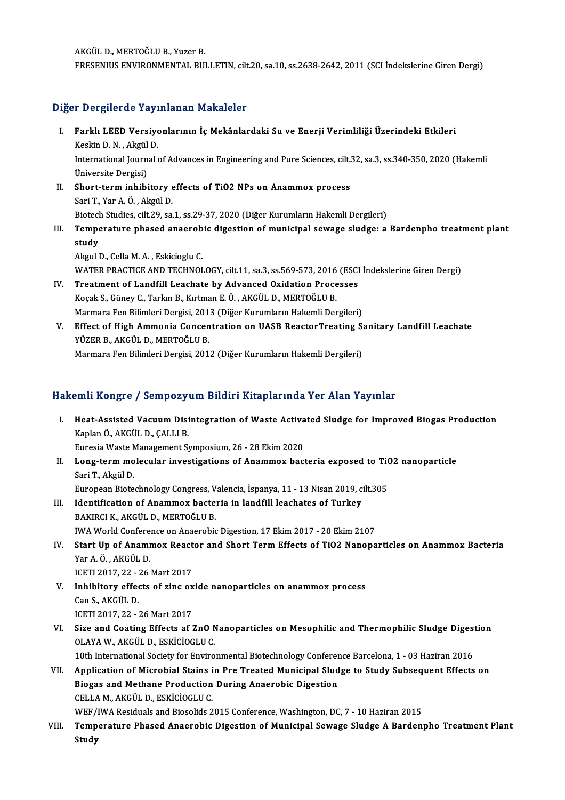AKGÜLD.,MERTOĞLUB.,YuzerB. FRESENIUS ENVIRONMENTAL BULLETIN, cilt.20, sa.10, ss.2638-2642, 2011 (SCI İndekslerine Giren Dergi)

# Diğer Dergilerde Yayınlanan Makaleler

- iğer Dergilerde Yayınlanan Makaleler<br>I. Farklı LEED Versiyonlarının İç Mekânlardaki Su ve Enerji Verimliliği Üzerindeki Etkileri<br>Keskin D.N. Akrül D r Bergherde ray:<br>Farklı LEED Versiye<br>Keskin D.N., Akgül D.<br>International Iournal International Journal of Advances in Engineering and Pure Sciences, cilt.32, sa.3, ss.340-350, 2020 (Hakemli Üniversite Dergisi) Keskin D. N., Akgül D. II. Short-term inhibitory effects of TiO2 NPs on Anammox process SariT.,YarA.Ö. ,AkgülD. Short-term inhibitory effects of TiO2 NPs on Anammox process<br>Sari T., Yar A. Ö. , Akgül D.<br>Biotech Studies, cilt.29, sa.1, ss.29-37, 2020 (Diğer Kurumların Hakemli Dergileri)<br>Temperature phaeod apaerabis disestion of munis Sari T., Yar A. Ö. , Akgül D.<br>Biotech Studies, cilt.29, sa.1, ss.29-37, 2020 (Diğer Kurumların Hakemli Dergileri)<br>III. Temperature phased anaerobic digestion of municipal sewage sludge: a Bardenpho treatment plant Biotech<br>Tempe<br>study<br>Akaul I Temperature phased anaerob<br>study<br>Akgul D., Cella M. A. , Eskicioglu C.<br>WATER PRACTICE AND TECUNOL study<br>Akgul D., Cella M. A. , Eskicioglu C.<br>WATER PRACTICE AND TECHNOLOGY, cilt.11, sa.3, ss.569-573, 2016 (ESCI İndekslerine Giren Dergi)<br>Treatment of Landfill Leachate by Advanced Qyidation Presesses
- Akgul D., Cella M. A., Eskicioglu C.<br>WATER PRACTICE AND TECHNOLOGY, cilt.11, sa.3, ss.569-573, 2016 (ESCI<br>IV. Treatment of Landfill Leachate by Advanced Oxidation Processes<br>Kosak S. Günav C. Tarlun B. Kutman E.Ö., AKCÜL D. WATER PRACTICE AND TECHNOLOGY, cilt.11, sa.3, ss.569-573, 2016<br>Treatment of Landfill Leachate by Advanced Oxidation Proce<br>Koçak S., Güney C., Tarkın B., Kırtman E. Ö. , AKGÜL D., MERTOĞLU B.<br>Marmara Fan Bilimlari Dergisi 2 Treatment of Landfill Leachate by Advanced Oxidation Processes<br>Koçak S., Güney C., Tarkın B., Kırtman E. Ö. , AKGÜL D., MERTOĞLU B.<br>Marmara Fen Bilimleri Dergisi, 2013 (Diğer Kurumların Hakemli Dergileri)<br>Effect of High Am
- Koçak S., Güney C., Tarkın B., Kırtman E. Ö. , AKGÜL D., MERTOĞLU B.<br>Marmara Fen Bilimleri Dergisi, 2013 (Diğer Kurumların Hakemli Dergileri)<br>V. Effect of High Ammonia Concentration on UASB ReactorTreating Sanitary Landfil Marmara Fen Bilimleri Dergisi, 201<br><mark>Effect of High Ammonia Concen</mark><br>YÜZER B., AKGÜL D., MERTOĞLU B.<br>Marmara Fen Bilimleri Dergisi 201 Effect of High Ammonia Concentration on UASB ReactorTreating S:<br>YÜZER B., AKGÜL D., MERTOĞLU B.<br>Marmara Fen Bilimleri Dergisi, 2012 (Diğer Kurumların Hakemli Dergileri) Marmara Fen Bilimleri Dergisi, 2012 (Diğer Kurumların Hakemli Dergileri)<br>Hakemli Kongre / Sempozyum Bildiri Kitaplarında Yer Alan Yayınlar

- akemli Kongre / Sempozyum Bildiri Kitaplarında Yer Alan Yayınlar<br>I. Heat-Assisted Vacuum Disintegration of Waste Activated Sludge for Improved Biogas Production<br>Konka Ö. AKCÜLD CALLLE kari Kongre 7 Sempozy<br>Heat-Assisted Vacuum Disi<br>Kaplan Ö., AKGÜL D., ÇALLI B.<br>Eurosia Wasta Managament S Heat-Assisted Vacuum Disintegration of Waste Activa<br>Kaplan Ö., AKGÜL D., ÇALLI B.<br>Euresia Waste Management Symposium, 26 - 28 Ekim 2020<br>Long term mologular investigations of Anammov basi Kaplan Ö., AKGÜL D., ÇALLI B.<br>Euresia Waste Management Symposium, 26 - 28 Ekim 2020<br>II. Long-term molecular investigations of Anammox bacteria exposed to TiO2 nanoparticle<br>Sori T. Akgül D.
- Euresia Waste M<br>**Long-term mo<br>Sari T., Akgül D.**<br>Europeen Biste Long-term molecular investigations of Anammox bacteria exposed to TiO<br>Sari T., Akgül D.<br>European Biotechnology Congress, Valencia, İspanya, 11 - 13 Nisan 2019, cilt.305<br>Identification of Anammov bastania in landfill leasha

- Sari T., Akgül D.<br>European Biotechnology Congress, Valencia, İspanya, 11 13 Nisan 2019, c.<br>III. Identification of Anammox bacteria in landfill leachates of Turkey European Biotechnology Congress, V<br>Identification of Anammox bacte:<br>BAKIRCI K., AKGÜL D., MERTOĞLU B.<br>IWA World Conference on Anaerobic Identification of Anammox bacteria in landfill leachates of Turkey<br>BAKIRCI K., AKGÜL D., MERTOĞLU B.<br>IWA World Conference on Anaerobic Digestion, 17 Ekim 2017 - 20 Ekim 2107<br>Start Un of Anammox Boaster and Short Term Effec
- BAKIRCI K., AKGÜL D., MERTOĞLU B.<br>IWA World Conference on Anaerobic Digestion, 17 Ekim 2017 20 Ekim 2107<br>IV. Start Up of Anammox Reactor and Short Term Effects of TiO2 Nanoparticles on Anammox Bacteria<br>Var A Ö. AKÇÜL D. IWA World Confere<br>Start Up of Anamr<br>Yar A.Ö., AKGÜL D.<br>JCETI 2017-22-26 Start Up of Anammox React<br>Yar A.Ö., AKGÜL D.<br>ICETI 2017, 22 - 26 Mart 2017<br>Inhibitory offects of sing ov Yar A. Ö., AKGÜL D.<br>ICETI 2017, 22 - 26 Mart 2017<br>V. Inhibitory effects of zinc oxide nanoparticles on anammox process<br>Can S. AKGÜL D.
- ICETI 2017, 22 :<br>I<mark>nhibitory effec</mark><br>Can S., AKGÜL D.<br>ICETI 2017, 22 Inhibitory effects of zinc ox<br>Can S., AKGÜL D.<br>ICETI 2017, 22 - 26 Mart 2017<br>Sine and Coating Effects as : Can S., AKGÜL D.<br>ICETI 2017, 22 - 26 Mart 2017<br>VI. Size and Coating Effects af ZnO Nanoparticles on Mesophilic and Thermophilic Sludge Digestion<br>OLAYA W. AKCÜL D. ESKİCİOCLU C
- ICETI 2017, 22 26 Mart 2017<br>Size and Coating Effects af ZnO N<br>OLAYA W., AKGÜL D., ESKİCİOGLU C.<br>10th International Seciety for Enviro Size and Coating Effects af ZnO Nanoparticles on Mesophilic and Thermophilic Sludge Diges<br>OLAYA W., AKGÜL D., ESKİCİOGLU C.<br>10th International Society for Environmental Biotechnology Conference Barcelona, 1 - 03 Haziran 20

OLAYA W., AKGÜL D., ESKİCİOGLU C.<br>10th International Society for Environmental Biotechnology Conference Barcelona, 1 - 03 Haziran 2016<br>VII. Application of Microbial Stains in Pre Treated Municipal Sludge to Study Subse 10th International Society for Environmental Biotechnology Conferer<br>Application of Microbial Stains in Pre Treated Municipal Slud<br>Biogas and Methane Production During Anaerobic Digestion<br>CELLAM AKCÜLD ESKICIOCLUC Application of Microbial Stains i<br>Biogas and Methane Production<br>CELLA M., AKGÜL D., ESKİCİOGLU C.<br>WEE (IWA Besiduals and Biosolida 2 Biogas and Methane Production During Anaerobic Digestion<br>CELLA M., AKGÜL D., ESKİCİOGLU C.<br>WEF/IWA Residuals and Biosolids 2015 Conference, Washington, DC, 7 - 10 Haziran 2015<br>Temperature Phaeed Anaerobic Disection of Muni

CELLA M., AKGÜL D., ESKİCİOGLU C.<br>WEF/IWA Residuals and Biosolids 2015 Conference, Washington, DC, 7 - 10 Haziran 2015<br>VIII. Temperature Phased Anaerobic Digestion of Municipal Sewage Sludge A Bardenpho Treatment Plant WEF/<br>Temp<br>Study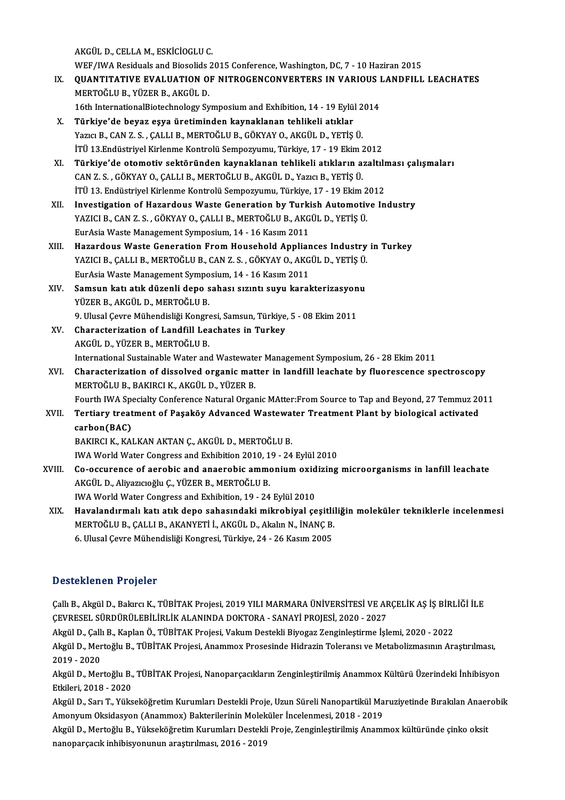AKGÜLD.,CELLAM.,ESKİCİOGLUC.

AKGÜL D., CELLA M., ESKİCİOGLU C.<br>WEF/IWA Residuals and Biosolids 2015 Conference, Washington, DC, 7 - 10 Haziran 2015<br>QUANTITATIVE EVALUATION OF NITROCENCONVERTERS IN VARIOUS LANDEU L

- IX. QUANTITATIVE EVALUATION OF NITROGENCONVERTERS IN VARIOUS LANDFILL LEACHATES<br>MERTOĞLU B. YÜZER B. AKGÜL D. WEF/IWA Residuals and Biosolids<br>QUANTITATIVE EVALUATION O<br>MERTOĞLU B., YÜZER B., AKGÜL D.<br>16th InternationalBiotechnology Sy
	- 16th InternationalBiotechnology SymposiumandExhibition,14 -19Eylül2014
- X. Türkiye'de beyaz eşya üretiminden kaynaklanan tehlikeli atıklar 16th InternationalBiotechnology Symposium and Exhibition, 14 - 19 Eylül 2<br>Türkiye'de beyaz eşya üretiminden kaynaklanan tehlikeli atıklar<br>Yazıcı B., CAN Z. S. , ÇALLI B., MERTOĞLU B., GÖKYAY O., AKGÜL D., YETİŞ Ü.<br>İTÜ 12 E Türkiye'de beyaz eşya üretiminden kaynaklanan tehlikeli atıklar<br>Yazıcı B., CAN Z. S. , ÇALLI B., MERTOĞLU B., GÖKYAY O., AKGÜL D., YETİŞ Ü.<br>İTÜ 13.Endüstriyel Kirlenme Kontrolü Sempozyumu, Türkiye, 17 - 19 Ekim 2012<br>Türkiy Yazıcı B., CAN Z. S. , ÇALLI B., MERTOĞLU B., GÖKYAY O., AKGÜL D., YETİŞ Ü.<br>İTÜ 13.Endüstriyel Kirlenme Kontrolü Sempozyumu, Türkiye, 17 - 19 Ekim 2012<br>XI. Türkiye'de otomotiv sektöründen kaynaklanan tehlikeli atıkları
- İTÜ 13.Endüstriyel Kirlenme Kontrolü Sempozyumu, Türkiye, 17 19 Ekim 2<br>Türkiye'de otomotiv sektöründen kaynaklanan tehlikeli atıkların a:<br>CAN Z. S., GÖKYAY O., ÇALLI B., MERTOĞLU B., AKGÜL D., Yazıcı B., YETİŞ Ü.<br>İTÜ 12. Türkiye'de otomotiv sektöründen kaynaklanan tehlikeli atıkların azaltılı<br>CAN Z. S. , GÖKYAY O., ÇALLI B., MERTOĞLU B., AKGÜL D., Yazıcı B., YETİŞ Ü.<br>İTÜ 13. Endüstriyel Kirlenme Kontrolü Sempozyumu, Türkiye, 17 - 19 Ekim 2 CAN Z. S. , GÖKYAY O., ÇALLI B., MERTOĞLU B., AKGÜL D., Yazıcı B., YETİŞ Ü.<br>İTÜ 13. Endüstriyel Kirlenme Kontrolü Sempozyumu, Türkiye, 17 - 19 Ekim 2012<br>XII. Investigation of Hazardous Waste Generation by Turkish Automotiv İTÜ 13. Endüstriyel Kirlenme Kontrolü Sempozyumu, Türkiye, 17 - 19 Ekim 2012
- EurAsiaWasteManagementSymposium,14 -16Kasım2011
- XIII. Hazardous Waste Generation From Household Appliances Industry in Turkey EurAsia Waste Management Symposium, 14 - 16 Kasım 2011<br>Hazardous Waste Generation From Household Appliances Industry<br>YAZICI B., ÇALLI B., MERTOĞLU B., CAN Z. S. , GÖKYAY O., AKGÜL D., YETİŞ Ü.<br>EurAsia Waste Management Symp Hazardous Waste Generation From Household Applian<br>YAZICI B., ÇALLI B., MERTOĞLU B., CAN Z. S. , GÖKYAY O., AKG<br>EurAsia Waste Management Symposium, 14 - 16 Kasım 2011<br>Samaun katı atık dürenli dana sahası sırıntı suyu kanal YAZICI B., ÇALLI B., MERTOĞLU B., CAN Z. S. , GÖKYAY O., AKGÜL D., YETİŞ Ü.<br>EurAsia Waste Management Symposium, 14 - 16 Kasım 2011<br>XIV. Samsun katı atık düzenli depo sahası sızıntı suyu karakterizasyonu<br>VÜZER B. AKGÜL D. M
- EurAsia Waste Management Symposium, 14 16 Kasım 2011<br>Samsun katı atık düzenli depo sahası sızıntı suyu karakterizasyonu<br>YÜZER B., AKGÜL D., MERTOĞLU B. Samsun katı atık düzenli depo sahası sızıntı suyu karakterizasyon<br>YÜZER B., AKGÜL D., MERTOĞLU B.<br>9. Ulusal Çevre Mühendisliği Kongresi, Samsun, Türkiye, 5 - 08 Ekim 2011<br>Chanasteriration of Landfill Leachates in Turkey.
- XV. Characterization of Landfill Leachates in Turkey<br>AKGÜL D., YÜZER B., MERTOĞLU B. 9. Ulusal Çevre Mühendisliği Kongre<br>Characterization of Landfill Lea<br>AKGÜL D., YÜZER B., MERTOĞLU B.<br>International Sustainable Water and Characterization of Landfill Leachates in Turkey<br>AKGÜL D., YÜZER B., MERTOĞLU B.<br>International Sustainable Water and Wastewater Management Symposium, 26 - 28 Ekim 2011<br>Characterization of dissolved organis matter in landfi AKGÜL D., YÜZER B., MERTOĞLU B.<br>International Sustainable Water and Wastewater Management Symposium, 26 - 28 Ekim 2011<br>XVI. Characterization of dissolved organic matter in landfill leachate by fluorescence spectroscopy
- International Sustainable Water and Wastewate<br>Characterization of dissolved organic mat<br>MERTOĞLU B., BAKIRCI K., AKGÜL D., YÜZER B.<br>Fourth WA Specialty Conference Natural Organ Characterization of dissolved organic matter in landfill leachate by fluorescence spectroscopy<br>MERTOĞLU B., BAKIRCI K., AKGÜL D., YÜZER B.<br>Fourth IWA Specialty Conference Natural Organic MAtter:From Source to Tap and Beyon Fourth IWA Specialty Conference Natural Organic MAtter: From Source to Tap and Beyond, 27 Temmuz 2011
- MERTOĞLU B., BAKIRCI K., AKGÜL D., YÜZER B.<br>Fourth IWA Specialty Conference Natural Organic MAtter:From Source to Tap and Beyond, 27 Temmuz 20<br>XVII. Tertiary treatment of Paşaköy Advanced Wastewater Treatment Plant by biol BAKIRCI K., KALKAN AKTAN Ç., AKGÜL D., MERTOĞLU B.

IWA World Water Congress and Exhibition 2010, 19 - 24 Eylül 2010

BAKIRCI K., KALKAN AKTAN Ç., AKGÜL D., MERTOĞLU B.<br>IWA World Water Congress and Exhibition 2010, 19 - 24 Eylül 2010<br>XVIII. Co-occurence of aerobic and anaerobic ammonium oxidizing microorganisms in lanfill leachate AKGÜL D., Aliyazıcıoğlu Ç., YÜZER B., MERTOĞLU B.<br>IWA World Water Congress and Exhibition, 19 - 24 Eylül 2010 Co-occurence of aerobic and anaerobic ammonium oxid<br>AKGÜL D., Aliyazıcıoğlu Ç., YÜZER B., MERTOĞLU B.<br>IWA World Water Congress and Exhibition, 19 - 24 Eylül 2010<br>Havelandırmalı katı atık dana sahasındaki mikrobiyal sa

AKGÜL D., Aliyazıcıoğlu Ç., YÜZER B., MERTOĞLU B.<br>IWA World Water Congress and Exhibition, 19 - 24 Eylül 2010<br>XIX. Havalandırmalı katı atık depo sahasındaki mikrobiyal çeşitliliğin moleküler tekniklerle incelenmesi<br>MER IWA World Water Congress and Exhibition, 19 - 24 Eylül 2010<br>Havalandırmalı katı atık depo sahasındaki mikrobiyal çeşitli<br>MERTOĞLU B., ÇALLI B., AKANYETİ İ., AKGÜL D., Akalın N., İNANÇ B.<br>6 Hlusel Ceyre Mühandisliği Kongres Havalandırmalı katı atık depo sahasındaki mikrobiyal çeşitli<br>MERTOĞLU B., ÇALLI B., AKANYETİ İ., AKGÜL D., Akalın N., İNANÇ B.<br>6. Ulusal Çevre Mühendisliği Kongresi, Türkiye, 24 - 26 Kasım 2005 6. Ulusal Çevre Mühendisliği Kongresi, Türkiye, 24 - 26 Kasım 2005<br>Desteklenen Projeler

Desteklenen Projeler<br>Çallı B., Akgül D., Bakırcı K., TÜBİTAK Projesi, 2019 YILI MARMARA ÜNİVERSİTESİ VE ARÇELİK AŞ İŞ BİRLİĞİ İLE<br>ÇEVREŞEL SÜRDÜRÜLERLI BLİK ALANINDA DOKTORA., SANAYİ PROJESİ 2020, 2027 ÇEVRESEL SÜRDÜRÜLEBİLİRLİKALANINDADOKTORA-SANAYİPROJESİ,2020 -2027 Çallı B., Akgül D., Bakırcı K., TÜBİTAK Projesi, 2019 YILI MARMARA ÜNİVERSİTESİ VE ARÇELİK AŞ İŞ BİRL<br>ÇEVRESEL SÜRDÜRÜLEBİLİRLİK ALANINDA DOKTORA - SANAYİ PROJESİ, 2020 - 2027<br>Akgül D., Çallı B., Kaplan Ö., TÜBİTAK Projesi

Akgül D., Callı B., Kaplan Ö., TÜBİTAK Projesi, Vakum Destekli Biyogaz Zenginleştirme İslemi, 2020 - 2022

Akgül D., Mertoğlu B., TÜBİTAK Projesi, Anammox Prosesinde Hidrazin Toleransı ve Metabolizmasının Araştırılması,<br>2019 - 2020 Akgül D., Mertoğlu B., TÜBİTAK Projesi, Anammox Prosesinde Hidrazin Toleransı ve Metabolizmasının Araştırılması,<br>2019 - 2020<br>Akgül D., Mertoğlu B., TÜBİTAK Projesi, Nanoparçacıkların Zenginleştirilmiş Anammox Kültürü Üzeri

2019 - 2020<br>Akgül D., Mertoğlu B.,<br>Etkileri, 2018 - 2020<br>Akgül D., Son T., Vüka Akgül D., Mertoğlu B., TÜBİTAK Projesi, Nanoparçacıkların Zenginleştirilmiş Anammox Kültürü Üzerindeki İnhibisyon<br>Etkileri, 2018 - 2020<br>Akgül D., Sarı T., Yükseköğretim Kurumları Destekli Proje, Uzun Süreli Nanopartikül Ma

Etkileri, 2018 - 2020<br>Akgül D., Sarı T., Yükseköğretim Kurumları Destekli Proje, Uzun Süreli Nanopartikül Ma<br>Amonyum Oksidasyon (Anammox) Bakterilerinin Moleküler İncelenmesi, 2018 - 2019<br>Akgül D. Merteğlu B. Vükseköğretim Akgül D., Sarı T., Yükseköğretim Kurumları Destekli Proje, Uzun Süreli Nanopartikül Maruziyetinde Bırakılan Anaer<br>Amonyum Oksidasyon (Anammox) Bakterilerinin Moleküler İncelenmesi, 2018 - 2019<br>Akgül D., Mertoğlu B., Yüksek

Amonyum Oksidasyon (Anammox) Bakterilerinin Molek<br>Akgül D., Mertoğlu B., Yükseköğretim Kurumları Destekli<br>nanoparçacık inhibisyonunun araştırılması, 2016 - 2019